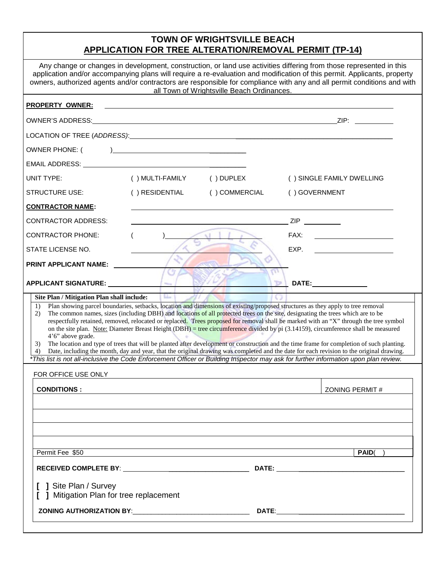# **TOWN OF WRIGHTSVILLE BEACH APPLICATION FOR TREE ALTERATION/REMOVAL PERMIT (TP-14)**

|                                                                                                                                                                                                                                |                 |                                            | Any change or changes in development, construction, or land use activities differing from those represented in this                                                                                                                                                                                                                                                                                                                                                                                                                                                                                                                                                                                                                                                                                                                                                                                                                                                                |  |
|--------------------------------------------------------------------------------------------------------------------------------------------------------------------------------------------------------------------------------|-----------------|--------------------------------------------|------------------------------------------------------------------------------------------------------------------------------------------------------------------------------------------------------------------------------------------------------------------------------------------------------------------------------------------------------------------------------------------------------------------------------------------------------------------------------------------------------------------------------------------------------------------------------------------------------------------------------------------------------------------------------------------------------------------------------------------------------------------------------------------------------------------------------------------------------------------------------------------------------------------------------------------------------------------------------------|--|
|                                                                                                                                                                                                                                |                 | all Town of Wrightsville Beach Ordinances. | application and/or accompanying plans will require a re-evaluation and modification of this permit. Applicants, property<br>owners, authorized agents and/or contractors are responsible for compliance with any and all permit conditions and with                                                                                                                                                                                                                                                                                                                                                                                                                                                                                                                                                                                                                                                                                                                                |  |
| <b>PROPERTY OWNER:</b>                                                                                                                                                                                                         |                 |                                            |                                                                                                                                                                                                                                                                                                                                                                                                                                                                                                                                                                                                                                                                                                                                                                                                                                                                                                                                                                                    |  |
| OWNER'S ADDRESS:                                                                                                                                                                                                               |                 |                                            |                                                                                                                                                                                                                                                                                                                                                                                                                                                                                                                                                                                                                                                                                                                                                                                                                                                                                                                                                                                    |  |
|                                                                                                                                                                                                                                |                 |                                            |                                                                                                                                                                                                                                                                                                                                                                                                                                                                                                                                                                                                                                                                                                                                                                                                                                                                                                                                                                                    |  |
| OWNER PHONE: (                                                                                                                                                                                                                 |                 |                                            |                                                                                                                                                                                                                                                                                                                                                                                                                                                                                                                                                                                                                                                                                                                                                                                                                                                                                                                                                                                    |  |
| EMAIL ADDRESS: University of the contract of the contract of the contract of the contract of the contract of the contract of the contract of the contract of the contract of the contract of the contract of the contract of t |                 |                                            |                                                                                                                                                                                                                                                                                                                                                                                                                                                                                                                                                                                                                                                                                                                                                                                                                                                                                                                                                                                    |  |
| UNIT TYPE:                                                                                                                                                                                                                     | () MULTI-FAMILY | () DUPLEX                                  | () SINGLE FAMILY DWELLING                                                                                                                                                                                                                                                                                                                                                                                                                                                                                                                                                                                                                                                                                                                                                                                                                                                                                                                                                          |  |
| <b>STRUCTURE USE:</b>                                                                                                                                                                                                          | () RESIDENTIAL  | ( ) COMMERCIAL                             | () GOVERNMENT                                                                                                                                                                                                                                                                                                                                                                                                                                                                                                                                                                                                                                                                                                                                                                                                                                                                                                                                                                      |  |
| <b>CONTRACTOR NAME:</b>                                                                                                                                                                                                        |                 |                                            |                                                                                                                                                                                                                                                                                                                                                                                                                                                                                                                                                                                                                                                                                                                                                                                                                                                                                                                                                                                    |  |
| <b>CONTRACTOR ADDRESS:</b>                                                                                                                                                                                                     |                 |                                            |                                                                                                                                                                                                                                                                                                                                                                                                                                                                                                                                                                                                                                                                                                                                                                                                                                                                                                                                                                                    |  |
| <b>CONTRACTOR PHONE:</b>                                                                                                                                                                                                       |                 |                                            | <u> Liston de la construcción de la construcción de la construcción de la construcción de la construcción de la c</u><br>FAX:                                                                                                                                                                                                                                                                                                                                                                                                                                                                                                                                                                                                                                                                                                                                                                                                                                                      |  |
| STATE LICENSE NO.                                                                                                                                                                                                              |                 |                                            | EXP.                                                                                                                                                                                                                                                                                                                                                                                                                                                                                                                                                                                                                                                                                                                                                                                                                                                                                                                                                                               |  |
| <b>PRINT APPLICANT NAME:</b>                                                                                                                                                                                                   |                 |                                            |                                                                                                                                                                                                                                                                                                                                                                                                                                                                                                                                                                                                                                                                                                                                                                                                                                                                                                                                                                                    |  |
| APPLICANT SIGNATURE: University of APPLICANT                                                                                                                                                                                   |                 |                                            | ъ<br>DATE:________________                                                                                                                                                                                                                                                                                                                                                                                                                                                                                                                                                                                                                                                                                                                                                                                                                                                                                                                                                         |  |
| 1)<br>2)<br>4'6" above grade.<br>3)<br>4)                                                                                                                                                                                      |                 |                                            | Plan showing parcel boundaries, setbacks, location and dimensions of existing/proposed structures as they apply to tree removal<br>The common names, sizes (including DBH) and locations of all protected trees on the site, designating the trees which are to be<br>respectfully retained, removed, relocated or replaced. Trees proposed for removal shall be marked with an "X" through the tree symbol<br>on the site plan. Note: Diameter Breast Height (DBH) = tree circumference divided by pi (3.14159), circumference shall be measured<br>The location and type of trees that will be planted after development or construction and the time frame for completion of such planting.<br>Date, including the month, day and year, that the original drawing was completed and the date for each revision to the original drawing.<br>*This list is not all-inclusive the Code Enforcement Officer or Building Inspector may ask for further information upon plan review. |  |
| FOR OFFICE USE ONLY                                                                                                                                                                                                            |                 |                                            |                                                                                                                                                                                                                                                                                                                                                                                                                                                                                                                                                                                                                                                                                                                                                                                                                                                                                                                                                                                    |  |
| <b>CONDITIONS:</b>                                                                                                                                                                                                             |                 |                                            | ZONING PERMIT#                                                                                                                                                                                                                                                                                                                                                                                                                                                                                                                                                                                                                                                                                                                                                                                                                                                                                                                                                                     |  |
| Permit Fee \$50                                                                                                                                                                                                                |                 |                                            | PAID( )                                                                                                                                                                                                                                                                                                                                                                                                                                                                                                                                                                                                                                                                                                                                                                                                                                                                                                                                                                            |  |
| <b>J</b> Site Plan / Survey<br>J Mitigation Plan for tree replacement                                                                                                                                                          |                 |                                            |                                                                                                                                                                                                                                                                                                                                                                                                                                                                                                                                                                                                                                                                                                                                                                                                                                                                                                                                                                                    |  |
|                                                                                                                                                                                                                                |                 |                                            |                                                                                                                                                                                                                                                                                                                                                                                                                                                                                                                                                                                                                                                                                                                                                                                                                                                                                                                                                                                    |  |
|                                                                                                                                                                                                                                |                 |                                            |                                                                                                                                                                                                                                                                                                                                                                                                                                                                                                                                                                                                                                                                                                                                                                                                                                                                                                                                                                                    |  |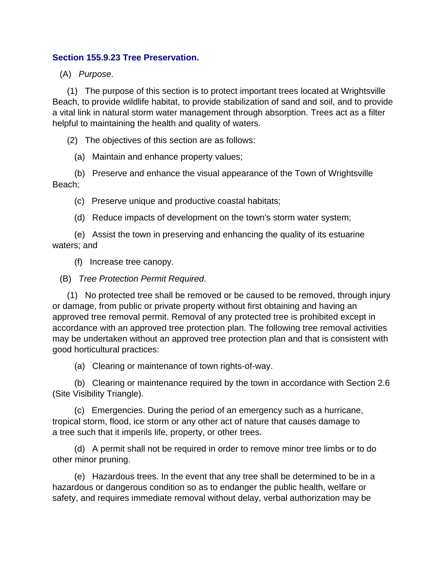## **Section 155.9.23 Tree Preservation.**

(A) *Purpose*.

 (1) The purpose of this section is to protect important trees located at Wrightsville Beach, to provide wildlife habitat, to provide stabilization of sand and soil, and to provide a vital link in natural storm water management through absorption. Trees act as a filter helpful to maintaining the health and quality of waters.

(2) The objectives of this section are as follows:

(a) Maintain and enhance property values;

 (b) Preserve and enhance the visual appearance of the Town of Wrightsville Beach;

(c) Preserve unique and productive coastal habitats;

(d) Reduce impacts of development on the town's storm water system;

 (e) Assist the town in preserving and enhancing the quality of its estuarine waters; and

(f) Increase tree canopy.

(B) *Tree Protection Permit Required*.

 (1) No protected tree shall be removed or be caused to be removed, through injury or damage, from public or private property without first obtaining and having an approved tree removal permit. Removal of any protected tree is prohibited except in accordance with an approved tree protection plan. The following tree removal activities may be undertaken without an approved tree protection plan and that is consistent with good horticultural practices:

(a) Clearing or maintenance of town rights-of-way.

 (b) Clearing or maintenance required by the town in accordance with Section 2.6 (Site Visibility Triangle).

 (c) Emergencies. During the period of an emergency such as a hurricane, tropical storm, flood, ice storm or any other act of nature that causes damage to a tree such that it imperils life, property, or other trees.

 (d) A permit shall not be required in order to remove minor tree limbs or to do other minor pruning.

 (e) Hazardous trees. In the event that any tree shall be determined to be in a hazardous or dangerous condition so as to endanger the public health, welfare or safety, and requires immediate removal without delay, verbal authorization may be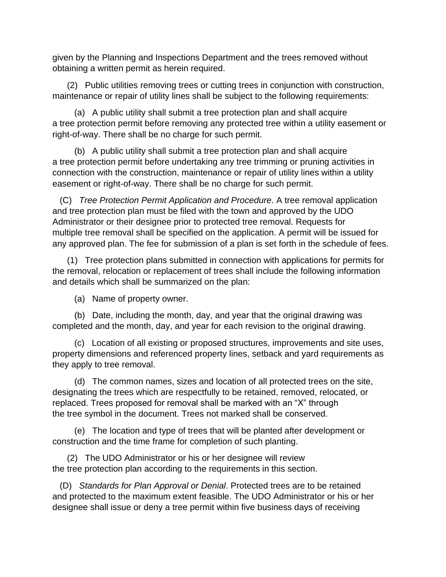given by the Planning and Inspections Department and the trees removed without obtaining a written permit as herein required.

 (2) Public utilities removing trees or cutting trees in conjunction with construction, maintenance or repair of utility lines shall be subject to the following requirements:

 (a) A public utility shall submit a tree protection plan and shall acquire a tree protection permit before removing any protected tree within a utility easement or right-of-way. There shall be no charge for such permit.

 (b) A public utility shall submit a tree protection plan and shall acquire a tree protection permit before undertaking any tree trimming or pruning activities in connection with the construction, maintenance or repair of utility lines within a utility easement or right-of-way. There shall be no charge for such permit.

 (C) *Tree Protection Permit Application and Procedure*. A tree removal application and tree protection plan must be filed with the town and approved by the UDO Administrator or their designee prior to protected tree removal. Requests for multiple tree removal shall be specified on the application. A permit will be issued for any approved plan. The fee for submission of a plan is set forth in the schedule of fees.

 (1) Tree protection plans submitted in connection with applications for permits for the removal, relocation or replacement of trees shall include the following information and details which shall be summarized on the plan:

(a) Name of property owner.

 (b) Date, including the month, day, and year that the original drawing was completed and the month, day, and year for each revision to the original drawing.

 (c) Location of all existing or proposed structures, improvements and site uses, property dimensions and referenced property lines, setback and yard requirements as they apply to tree removal.

 (d) The common names, sizes and location of all protected trees on the site, designating the trees which are respectfully to be retained, removed, relocated, or replaced. Trees proposed for removal shall be marked with an "X" through the tree symbol in the document. Trees not marked shall be conserved.

 (e) The location and type of trees that will be planted after development or construction and the time frame for completion of such planting.

 (2) The UDO Administrator or his or her designee will review the tree protection plan according to the requirements in this section.

 (D) *Standards for Plan Approval or Denial*. Protected trees are to be retained and protected to the maximum extent feasible. The UDO Administrator or his or her designee shall issue or deny a tree permit within five business days of receiving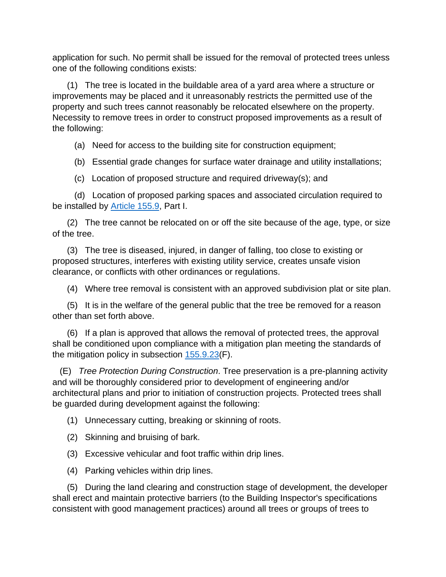application for such. No permit shall be issued for the removal of protected trees unless one of the following conditions exists:

 (1) The tree is located in the buildable area of a yard area where a structure or improvements may be placed and it unreasonably restricts the permitted use of the property and such trees cannot reasonably be relocated elsewhere on the property. Necessity to remove trees in order to construct proposed improvements as a result of the following:

(a) Need for access to the building site for construction equipment;

(b) Essential grade changes for surface water drainage and utility installations;

(c) Location of proposed structure and required driveway(s); and

 (d) Location of proposed parking spaces and associated circulation required to be installed by **Article 155.9**, Part I.

 (2) The tree cannot be relocated on or off the site because of the age, type, or size of the tree.

 (3) The tree is diseased, injured, in danger of falling, too close to existing or proposed structures, interferes with existing utility service, creates unsafe vision clearance, or conflicts with other ordinances or regulations.

(4) Where tree removal is consistent with an approved subdivision plat or site plan.

 (5) It is in the welfare of the general public that the tree be removed for a reason other than set forth above.

 (6) If a plan is approved that allows the removal of protected trees, the approval shall be conditioned upon compliance with a mitigation plan meeting the standards of the mitigation policy in subsection [155.9.23\(](https://codelibrary.amlegal.com/codes/wrightsvillebeach/latest/wright_nc/0-0-0-31554#JD_155.9.23)F).

 (E) *Tree Protection During Construction*. Tree preservation is a pre-planning activity and will be thoroughly considered prior to development of engineering and/or architectural plans and prior to initiation of construction projects. Protected trees shall be guarded during development against the following:

(1) Unnecessary cutting, breaking or skinning of roots.

- (2) Skinning and bruising of bark.
- (3) Excessive vehicular and foot traffic within drip lines.
- (4) Parking vehicles within drip lines.

 (5) During the land clearing and construction stage of development, the developer shall erect and maintain protective barriers (to the Building Inspector's specifications consistent with good management practices) around all trees or groups of trees to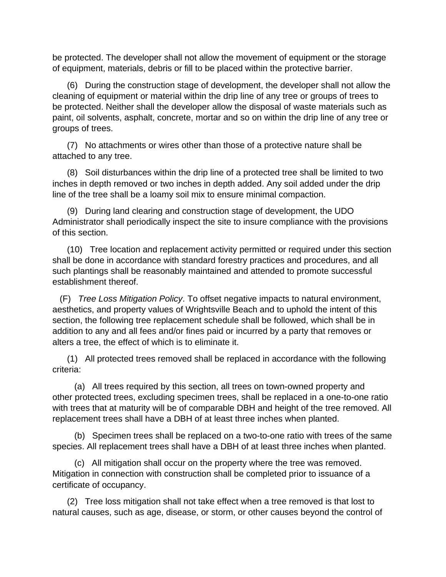be protected. The developer shall not allow the movement of equipment or the storage of equipment, materials, debris or fill to be placed within the protective barrier.

 (6) During the construction stage of development, the developer shall not allow the cleaning of equipment or material within the drip line of any tree or groups of trees to be protected. Neither shall the developer allow the disposal of waste materials such as paint, oil solvents, asphalt, concrete, mortar and so on within the drip line of any tree or groups of trees.

 (7) No attachments or wires other than those of a protective nature shall be attached to any tree.

 (8) Soil disturbances within the drip line of a protected tree shall be limited to two inches in depth removed or two inches in depth added. Any soil added under the drip line of the tree shall be a loamy soil mix to ensure minimal compaction.

 (9) During land clearing and construction stage of development, the UDO Administrator shall periodically inspect the site to insure compliance with the provisions of this section.

 (10) Tree location and replacement activity permitted or required under this section shall be done in accordance with standard forestry practices and procedures, and all such plantings shall be reasonably maintained and attended to promote successful establishment thereof.

 (F) *Tree Loss Mitigation Policy*. To offset negative impacts to natural environment, aesthetics, and property values of Wrightsville Beach and to uphold the intent of this section, the following tree replacement schedule shall be followed, which shall be in addition to any and all fees and/or fines paid or incurred by a party that removes or alters a tree, the effect of which is to eliminate it.

 (1) All protected trees removed shall be replaced in accordance with the following criteria:

 (a) All trees required by this section, all trees on town-owned property and other protected trees, excluding specimen trees, shall be replaced in a one-to-one ratio with trees that at maturity will be of comparable DBH and height of the tree removed. All replacement trees shall have a DBH of at least three inches when planted.

 (b) Specimen trees shall be replaced on a two-to-one ratio with trees of the same species. All replacement trees shall have a DBH of at least three inches when planted.

 (c) All mitigation shall occur on the property where the tree was removed. Mitigation in connection with construction shall be completed prior to issuance of a certificate of occupancy.

 (2) Tree loss mitigation shall not take effect when a tree removed is that lost to natural causes, such as age, disease, or storm, or other causes beyond the control of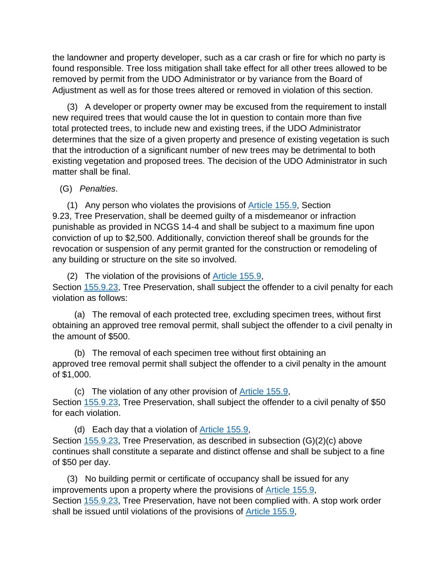the landowner and property developer, such as a car crash or fire for which no party is found responsible. Tree loss mitigation shall take effect for all other trees allowed to be removed by permit from the UDO Administrator or by variance from the Board of Adjustment as well as for those trees altered or removed in violation of this section.

 (3) A developer or property owner may be excused from the requirement to install new required trees that would cause the lot in question to contain more than five total protected trees, to include new and existing trees, if the UDO Administrator determines that the size of a given property and presence of existing vegetation is such that the introduction of a significant number of new trees may be detrimental to both existing vegetation and proposed trees. The decision of the UDO Administrator in such matter shall be final.

(G) *Penalties*.

 (1) Any person who violates the provisions of [Article 155.9,](https://codelibrary.amlegal.com/codes/wrightsvillebeach/latest/wright_nc/0-0-0-31203#JD_Article155.9) Section 9.23, Tree Preservation, shall be deemed guilty of a misdemeanor or infraction punishable as provided in NCGS 14-4 and shall be subject to a maximum fine upon conviction of up to \$2,500. Additionally, conviction thereof shall be grounds for the revocation or suspension of any permit granted for the construction or remodeling of any building or structure on the site so involved.

(2) The violation of the provisions of  $\frac{\text{Article } 155.9}{\text{.}}$ Section [155.9.23,](https://codelibrary.amlegal.com/codes/wrightsvillebeach/latest/wright_nc/0-0-0-31554#JD_155.9.23) Tree Preservation, shall subject the offender to a civil penalty for each violation as follows:

 (a) The removal of each protected tree, excluding specimen trees, without first obtaining an approved tree removal permit, shall subject the offender to a civil penalty in the amount of \$500.

 (b) The removal of each specimen tree without first obtaining an approved tree removal permit shall subject the offender to a civil penalty in the amount of \$1,000.

 (c) The violation of any other provision of [Article 155.9,](https://codelibrary.amlegal.com/codes/wrightsvillebeach/latest/wright_nc/0-0-0-31203#JD_Article155.9) Section [155.9.23,](https://codelibrary.amlegal.com/codes/wrightsvillebeach/latest/wright_nc/0-0-0-31554#JD_155.9.23) Tree Preservation, shall subject the offender to a civil penalty of \$50 for each violation.

 (d) Each day that a violation of [Article 155.9,](https://codelibrary.amlegal.com/codes/wrightsvillebeach/latest/wright_nc/0-0-0-31203#JD_Article155.9) Section [155.9.23,](https://codelibrary.amlegal.com/codes/wrightsvillebeach/latest/wright_nc/0-0-0-31554#JD_155.9.23) Tree Preservation, as described in subsection (G)(2)(c) above continues shall constitute a separate and distinct offense and shall be subject to a fine of \$50 per day.

 (3) No building permit or certificate of occupancy shall be issued for any improvements upon a property where the provisions of [Article 155.9,](https://codelibrary.amlegal.com/codes/wrightsvillebeach/latest/wright_nc/0-0-0-31203#JD_Article155.9) Section [155.9.23,](https://codelibrary.amlegal.com/codes/wrightsvillebeach/latest/wright_nc/0-0-0-31554#JD_155.9.23) Tree Preservation, have not been complied with. A stop work order shall be issued until violations of the provisions of **Article 155.9**,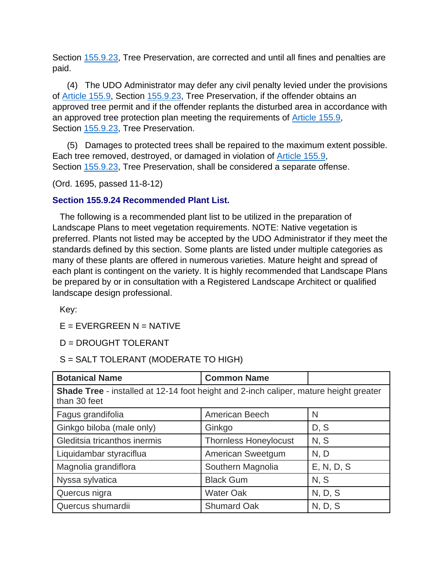Section [155.9.23,](https://codelibrary.amlegal.com/codes/wrightsvillebeach/latest/wright_nc/0-0-0-31554#JD_155.9.23) Tree Preservation, are corrected and until all fines and penalties are paid.

 (4) The UDO Administrator may defer any civil penalty levied under the provisions of [Article 155.9,](https://codelibrary.amlegal.com/codes/wrightsvillebeach/latest/wright_nc/0-0-0-31203#JD_Article155.9) Section [155.9.23,](https://codelibrary.amlegal.com/codes/wrightsvillebeach/latest/wright_nc/0-0-0-31554#JD_155.9.23) Tree Preservation, if the offender obtains an approved tree permit and if the offender replants the disturbed area in accordance with an approved tree protection plan meeting the requirements of [Article 155.9,](https://codelibrary.amlegal.com/codes/wrightsvillebeach/latest/wright_nc/0-0-0-31203#JD_Article155.9) Section [155.9.23,](https://codelibrary.amlegal.com/codes/wrightsvillebeach/latest/wright_nc/0-0-0-31554#JD_155.9.23) Tree Preservation.

 (5) Damages to protected trees shall be repaired to the maximum extent possible. Each tree removed, destroyed, or damaged in violation of [Article 155.9,](https://codelibrary.amlegal.com/codes/wrightsvillebeach/latest/wright_nc/0-0-0-31203#JD_Article155.9) Section [155.9.23,](https://codelibrary.amlegal.com/codes/wrightsvillebeach/latest/wright_nc/0-0-0-31554#JD_155.9.23) Tree Preservation, shall be considered a separate offense.

(Ord. 1695, passed 11-8-12)

## **Section 155.9.24 Recommended Plant List.**

 The following is a recommended plant list to be utilized in the preparation of Landscape Plans to meet vegetation requirements. NOTE: Native vegetation is preferred. Plants not listed may be accepted by the UDO Administrator if they meet the standards defined by this section. Some plants are listed under multiple categories as many of these plants are offered in numerous varieties. Mature height and spread of each plant is contingent on the variety. It is highly recommended that Landscape Plans be prepared by or in consultation with a Registered Landscape Architect or qualified landscape design professional.

Key:

 $E = EVERGREEN N = NATIVE$ 

D = DROUGHT TOLERANT

S = SALT TOLERANT (MODERATE TO HIGH)

| <b>Botanical Name</b>                                                                                        | <b>Common Name</b>           |            |  |
|--------------------------------------------------------------------------------------------------------------|------------------------------|------------|--|
| <b>Shade Tree</b> - installed at 12-14 foot height and 2-inch caliper, mature height greater<br>than 30 feet |                              |            |  |
| Fagus grandifolia                                                                                            | American Beech               | N          |  |
| Ginkgo biloba (male only)                                                                                    | Ginkgo                       | D, S       |  |
| Gleditsia tricanthos inermis                                                                                 | <b>Thornless Honeylocust</b> | N, S       |  |
| Liquidambar styraciflua                                                                                      | American Sweetgum            | N, D       |  |
| Magnolia grandiflora                                                                                         | Southern Magnolia            | E, N, D, S |  |
| Nyssa sylvatica                                                                                              | <b>Black Gum</b>             | N, S       |  |
| Quercus nigra                                                                                                | <b>Water Oak</b>             | N, D, S    |  |
| Quercus shumardii                                                                                            | <b>Shumard Oak</b>           | N, D, S    |  |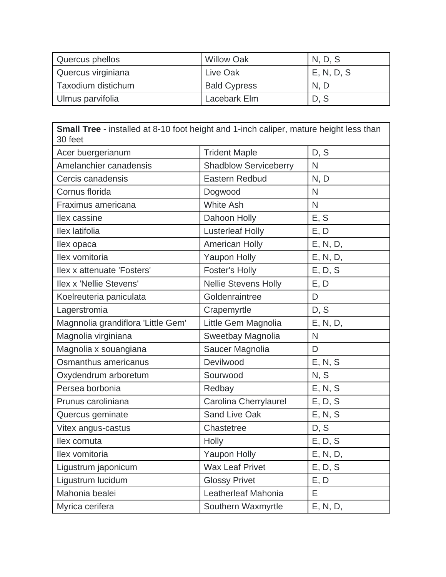| Quercus phellos    | <b>Willow Oak</b>   | N, D, S    |
|--------------------|---------------------|------------|
| Quercus virginiana | Live Oak            | E, N, D, S |
| Taxodium distichum | <b>Bald Cypress</b> | N, D       |
| Ulmus parvifolia   | Lacebark Elm        | D, S       |

| <b>Small Tree</b> - installed at 8-10 foot height and 1-inch caliper, mature height less than<br>30 feet |                              |              |
|----------------------------------------------------------------------------------------------------------|------------------------------|--------------|
| Acer buergerianum                                                                                        | <b>Trident Maple</b>         | D, S         |
| Amelanchier canadensis                                                                                   | <b>Shadblow Serviceberry</b> | N            |
| Cercis canadensis                                                                                        | Eastern Redbud               | N, D         |
| Cornus florida                                                                                           | Dogwood                      | $\mathsf{N}$ |
| Fraximus americana                                                                                       | <b>White Ash</b>             | $\mathsf{N}$ |
| llex cassine                                                                                             | Dahoon Holly                 | E, S         |
| llex latifolia                                                                                           | <b>Lusterleaf Holly</b>      | E, D         |
| llex opaca                                                                                               | American Holly               | E, N, D,     |
| llex vomitoria                                                                                           | <b>Yaupon Holly</b>          | E, N, D,     |
| Ilex x attenuate 'Fosters'                                                                               | <b>Foster's Holly</b>        | E, D, S      |
| <b>Ilex x 'Nellie Stevens'</b>                                                                           | <b>Nellie Stevens Holly</b>  | E, D         |
| Koelreuteria paniculata                                                                                  | Goldenraintree               | D            |
| Lagerstromia                                                                                             | Crapemyrtle                  | D, S         |
| Magnnolia grandiflora 'Little Gem'                                                                       | Little Gem Magnolia          | E, N, D,     |
| Magnolia virginiana                                                                                      | Sweetbay Magnolia            | $\mathsf{N}$ |
| Magnolia x souangiana                                                                                    | Saucer Magnolia              | D            |
| Osmanthus americanus                                                                                     | Devilwood                    | E, N, S      |
| Oxydendrum arboretum                                                                                     | Sourwood                     | N, S         |
| Persea borbonia                                                                                          | Redbay                       | E, N, S      |
| Prunus caroliniana                                                                                       | Carolina Cherrylaurel        | E, D, S      |
| Quercus geminate                                                                                         | Sand Live Oak                | E, N, S      |
| Vitex angus-castus                                                                                       | Chastetree                   | D, S         |
| llex cornuta                                                                                             | Holly                        | E, D, S      |
| llex vomitoria                                                                                           | <b>Yaupon Holly</b>          | E, N, D,     |
| Ligustrum japonicum                                                                                      | <b>Wax Leaf Privet</b>       | E, D, S      |
| Ligustrum lucidum                                                                                        | <b>Glossy Privet</b>         | E, D         |
| Mahonia bealei                                                                                           | Leatherleaf Mahonia          | E            |
| Myrica cerifera                                                                                          | Southern Waxmyrtle           | E, N, D,     |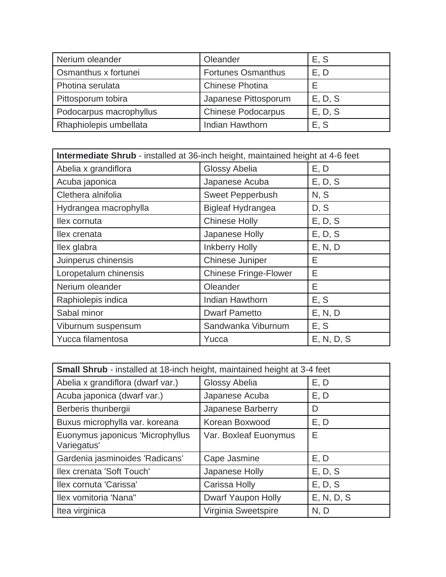| Nerium oleander         | Oleander                  | E, S    |
|-------------------------|---------------------------|---------|
| Osmanthus x fortunei    | <b>Fortunes Osmanthus</b> | E, D    |
| Photina serulata        | <b>Chinese Photina</b>    |         |
| Pittosporum tobira      | Japanese Pittosporum      | E, D, S |
| Podocarpus macrophyllus | <b>Chinese Podocarpus</b> | E, D, S |
| Rhaphiolepis umbellata  | <b>Indian Hawthorn</b>    | E, S    |

| Intermediate Shrub - installed at 36-inch height, maintained height at 4-6 feet |                              |            |
|---------------------------------------------------------------------------------|------------------------------|------------|
| Abelia x grandiflora                                                            | Glossy Abelia                | E, D       |
| Acuba japonica                                                                  | Japanese Acuba               | E, D, S    |
| Clethera alnifolia                                                              | <b>Sweet Pepperbush</b>      | N, S       |
| Hydrangea macrophylla                                                           | <b>Bigleaf Hydrangea</b>     | D, S       |
| llex cornuta                                                                    | <b>Chinese Holly</b>         | E, D, S    |
| llex crenata                                                                    | Japanese Holly               | E, D, S    |
| llex glabra                                                                     | <b>Inkberry Holly</b>        | E, N, D    |
| Juinperus chinensis                                                             | <b>Chinese Juniper</b>       | Е          |
| Loropetalum chinensis                                                           | <b>Chinese Fringe-Flower</b> | Е          |
| Nerium oleander                                                                 | Oleander                     | Е          |
| Raphiolepis indica                                                              | <b>Indian Hawthorn</b>       | E, S       |
| Sabal minor                                                                     | <b>Dwarf Pametto</b>         | E, N, D    |
| Viburnum suspensum                                                              | Sandwanka Viburnum           | E, S       |
| Yucca filamentosa                                                               | Yucca                        | E, N, D, S |

| Small Shrub - installed at 18-inch height, maintained height at 3-4 feet |                       |            |
|--------------------------------------------------------------------------|-----------------------|------------|
| Abelia x grandiflora (dwarf var.)                                        | Glossy Abelia         | E, D       |
| Acuba japonica (dwarf var.)                                              | Japanese Acuba        | E, D       |
| Berberis thunbergii                                                      | Japanese Barberry     | D          |
| Buxus microphylla var. koreana                                           | Korean Boxwood        | E, D       |
| Euonymus japonicus 'Microphyllus<br>Variegatus'                          | Var. Boxleaf Euonymus | Е          |
| Gardenia jasminoides 'Radicans'                                          | Cape Jasmine          | E, D       |
| Ilex crenata 'Soft Touch'                                                | Japanese Holly        | E, D, S    |
| Ilex cornuta 'Carissa'                                                   | Carissa Holly         | E, D, S    |
| Ilex vomitoria 'Nana"                                                    | Dwarf Yaupon Holly    | E, N, D, S |
| Itea virginica                                                           | Virginia Sweetspire   | N, D       |